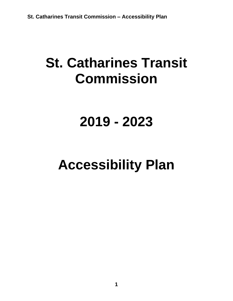# **St. Catharines Transit Commission**

# **2019 - 2023**

# **Accessibility Plan**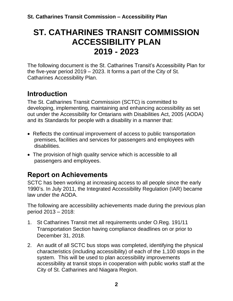## **ST. CATHARINES TRANSIT COMMISSION ACCESSIBILITY PLAN 2019 - 2023**

The following document is the St. Catharines Transit's Accessibility Plan for the five-year period 2019 – 2023. It forms a part of the City of St. Catharines Accessibility Plan.

#### **Introduction**

The St. Catharines Transit Commission (SCTC) is committed to developing, implementing, maintaining and enhancing accessibility as set out under the Accessibility for Ontarians with Disabilities Act, 2005 (AODA) and its Standards for people with a disability in a manner that:

- Reflects the continual improvement of access to public transportation premises, facilities and services for passengers and employees with disabilities.
- The provision of high quality service which is accessible to all passengers and employees.

#### **Report on Achievements**

SCTC has been working at increasing access to all people since the early 1990's. In July 2011, the Integrated Accessibility Regulation (IAR) became law under the AODA.

The following are accessibility achievements made during the previous plan period 2013 – 2018:

- 1. St Catharines Transit met all requirements under O.Reg. 191/11 Transportation Section having compliance deadlines on or prior to December 31, 2018.
- 2. An audit of all SCTC bus stops was completed, identifying the physical characteristics (including accessibility) of each of the 1,100 stops in the system. This will be used to plan accessibility improvements accessibility at transit stops in cooperation with public works staff at the City of St. Catharines and Niagara Region.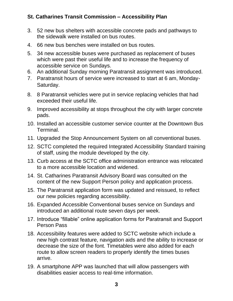#### **St. Catharines Transit Commission – Accessibility Plan**

- 3. 52 new bus shelters with accessible concrete pads and pathways to the sidewalk were installed on bus routes.
- 4. 66 new bus benches were installed on bus routes.
- 5. 34 new accessible buses were purchased as replacement of buses which were past their useful life and to increase the frequency of accessible service on Sundays.
- 6. An additional Sunday morning Paratransit assignment was introduced.
- 7. Paratransit hours of service were increased to start at 6 am, Monday-Saturday.
- 8. 8 Paratransit vehicles were put in service replacing vehicles that had exceeded their useful life.
- 9. Improved accessibility at stops throughout the city with larger concrete pads.
- 10. Installed an accessible customer service counter at the Downtown Bus Terminal.
- 11. Upgraded the Stop Announcement System on all conventional buses.
- 12. SCTC completed the required Integrated Accessibility Standard training of staff, using the module developed by the city.
- 13. Curb access at the SCTC office administration entrance was relocated to a more accessible location and widened.
- 14. St. Catharines Paratransit Advisory Board was consulted on the content of the new Support Person policy and application process.
- 15. The Paratransit application form was updated and reissued, to reflect our new policies regarding accessibility.
- 16. Expanded Accessible Conventional buses service on Sundays and introduced an additional route seven days per week.
- 17. Introduce "fillable" online application forms for Paratransit and Support Person Pass
- 18. Accessibility features were added to SCTC website which include a new high contrast feature, navigation aids and the ability to increase or decrease the size of the font. Timetables were also added for each route to allow screen readers to properly identify the times buses arrive.
- 19. A smartphone APP was launched that will allow passengers with disabilities easier access to real-time information.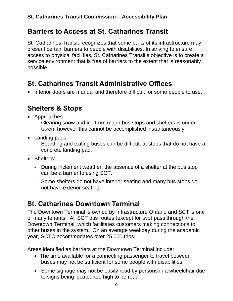#### **Barriers to Access at St. Catharines Transit**

St. Catharines Transit recognizes that some parts of its infrastructure may present certain barriers to people with disabilities. In striving to ensure access to physical facilities, St. Catharines Transit's objective is to create a service environment that is free of barriers to the extent that is reasonably possible.

#### **St. Catharines Transit Administrative Offices**

• Interior doors are manual and therefore difficult for some people to use.

### **Shelters & Stops**

- Approaches:
	- Clearing snow and ice from major bus stops and shelters is under taken, however this cannot be accomplished instantaneously.
- Landing pads:
	- Boarding and exiting buses can be difficult at stops that do not have a concrete landing pad.
- Shelters:
	- During inclement weather, the absence of a shelter at the bus stop can be a barrier to using SCT.
	- Some shelters do not have interior seating and many bus stops do not have exterior seating.

## **St. Catharines Downtown Terminal**

The Downtown Terminal is owned by Infrastructure Ontario and SCT is one of many tenants. All SCT bus routes (except for two) pass through the Downtown Terminal, which facilitates customers making connections to other buses in the system. On an average weekday during the academic year, SCTC accommodates over 25,000 trips.

Areas identified as barriers at the Downtown Terminal include:

- The time available for a connecting passenger to travel between buses may not be sufficient for some people with disabilities.
- Some signage may not be easily read by persons in a wheelchair due to signs being located too high to be read.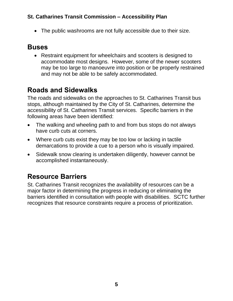#### **St. Catharines Transit Commission – Accessibility Plan**

• The public washrooms are not fully accessible due to their size.

#### **Buses**

• Restraint equipment for wheelchairs and scooters is designed to accommodate most designs. However, some of the newer scooters may be too large to manoeuvre into position or be properly restrained and may not be able to be safely accommodated.

#### **Roads and Sidewalks**

The roads and sidewalks on the approaches to St. Catharines Transit bus stops, although maintained by the City of St. Catharines, determine the accessibility of St. Catharines Transit services. Specific barriers in the following areas have been identified:

- The walking and wheeling path to and from bus stops do not always have curb cuts at corners.
- Where curb cuts exist they may be too low or lacking in tactile demarcations to provide a cue to a person who is visually impaired.
- Sidewalk snow clearing is undertaken diligently, however cannot be accomplished instantaneously.

### **Resource Barriers**

St. Catharines Transit recognizes the availability of resources can be a major factor in determining the progress in reducing or eliminating the barriers identified in consultation with people with disabilities. SCTC further recognizes that resource constraints require a process of prioritization.